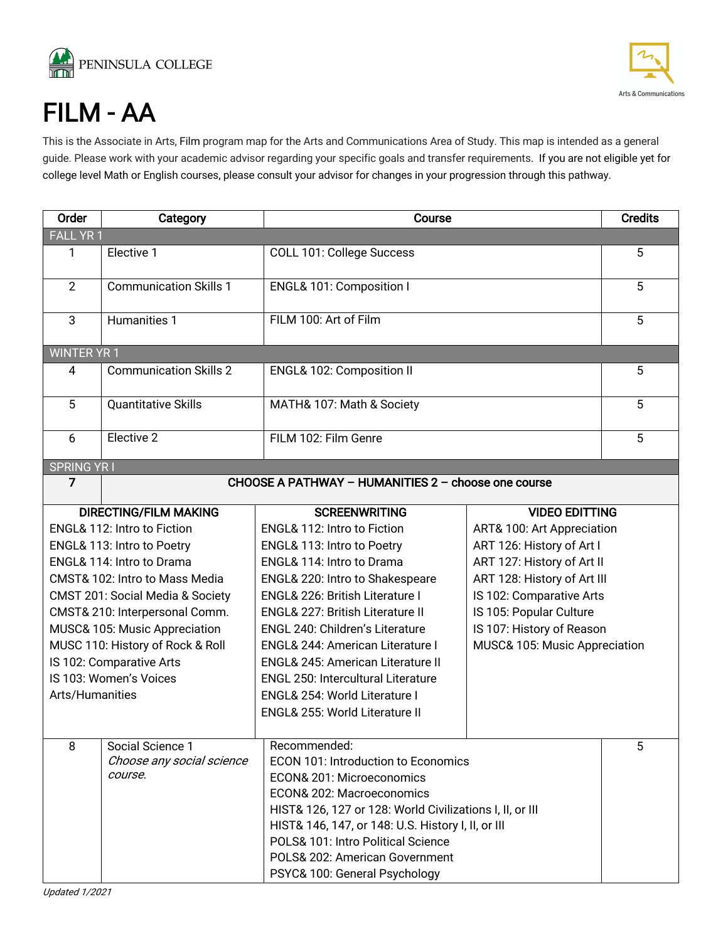



Updated 1/2021

FILM - AA<br>This is the Associate in Arts, Film program map for the Arts and Communications Area of Study. This map is intended as a general guide. Please work with your academic advisor regarding your specific goals and transfer requirements. If you are not eligible yet for college level Math or English courses, please consult your advisor for changes in your progression through this pathway.

| Order                            | Category                                                         | Course                                                  | <b>Credits</b>                |   |  |
|----------------------------------|------------------------------------------------------------------|---------------------------------------------------------|-------------------------------|---|--|
| FALL YR 1                        |                                                                  |                                                         |                               |   |  |
| 1                                | Elective 1                                                       | COLL 101: College Success                               | 5                             |   |  |
| $\overline{2}$                   | <b>Communication Skills 1</b>                                    | ENGL& 101: Composition I                                |                               | 5 |  |
| 3                                | Humanities 1                                                     | FILM 100: Art of Film                                   |                               | 5 |  |
| <b>WINTER YR 1</b>               |                                                                  |                                                         |                               |   |  |
| 4                                | <b>Communication Skills 2</b>                                    | ENGL& 102: Composition II                               |                               |   |  |
| 5                                | <b>Quantitative Skills</b>                                       | MATH& 107: Math & Society                               |                               | 5 |  |
| 6                                | Elective 2                                                       | FILM 102: Film Genre                                    | 5                             |   |  |
| <b>SPRING YRI</b>                |                                                                  |                                                         |                               |   |  |
| 7                                |                                                                  | CHOOSE A PATHWAY - HUMANITIES 2 - choose one course     |                               |   |  |
| <b>DIRECTING/FILM MAKING</b>     |                                                                  | <b>SCREENWRITING</b>                                    | <b>VIDEO EDITTING</b>         |   |  |
| ENGL& 112: Intro to Fiction      |                                                                  | ENGL& 112: Intro to Fiction                             | ART& 100: Art Appreciation    |   |  |
| ENGL& 113: Intro to Poetry       |                                                                  | ART 126: History of Art I<br>ENGL& 113: Intro to Poetry |                               |   |  |
| ENGL& 114: Intro to Drama        |                                                                  | ENGL& 114: Intro to Drama<br>ART 127: History of Art II |                               |   |  |
| CMST& 102: Intro to Mass Media   |                                                                  | ENGL& 220: Intro to Shakespeare                         | ART 128: History of Art III   |   |  |
| CMST 201: Social Media & Society |                                                                  | ENGL& 226: British Literature I                         | IS 102: Comparative Arts      |   |  |
| CMST& 210: Interpersonal Comm.   |                                                                  | <b>ENGL&amp; 227: British Literature II</b>             |                               |   |  |
| MUSC& 105: Music Appreciation    |                                                                  | ENGL 240: Children's Literature                         | IS 107: History of Reason     |   |  |
| MUSC 110: History of Rock & Roll |                                                                  | ENGL& 244: American Literature I                        | MUSC& 105: Music Appreciation |   |  |
|                                  | IS 102: Comparative Arts                                         | ENGL& 245: American Literature II                       |                               |   |  |
|                                  | IS 103: Women's Voices                                           | <b>ENGL 250: Intercultural Literature</b>               |                               |   |  |
| Arts/Humanities                  |                                                                  | ENGL& 254: World Literature I                           |                               |   |  |
|                                  |                                                                  | <b>ENGL&amp; 255: World Literature II</b>               |                               |   |  |
| 8                                | Social Science 1                                                 | Recommended:                                            |                               | 5 |  |
|                                  | Choose any social science<br>ECON 101: Introduction to Economics |                                                         |                               |   |  |
|                                  | course.<br>ECON& 201: Microeconomics                             |                                                         |                               |   |  |
|                                  |                                                                  | ECON& 202: Macroeconomics                               |                               |   |  |
|                                  | HIST& 126, 127 or 128: World Civilizations I, II, or III         |                                                         |                               |   |  |
|                                  | HIST& 146, 147, or 148: U.S. History I, II, or III               |                                                         |                               |   |  |
|                                  |                                                                  | POLS& 101: Intro Political Science                      |                               |   |  |
|                                  |                                                                  | POLS& 202: American Government                          |                               |   |  |
|                                  |                                                                  | PSYC& 100: General Psychology                           |                               |   |  |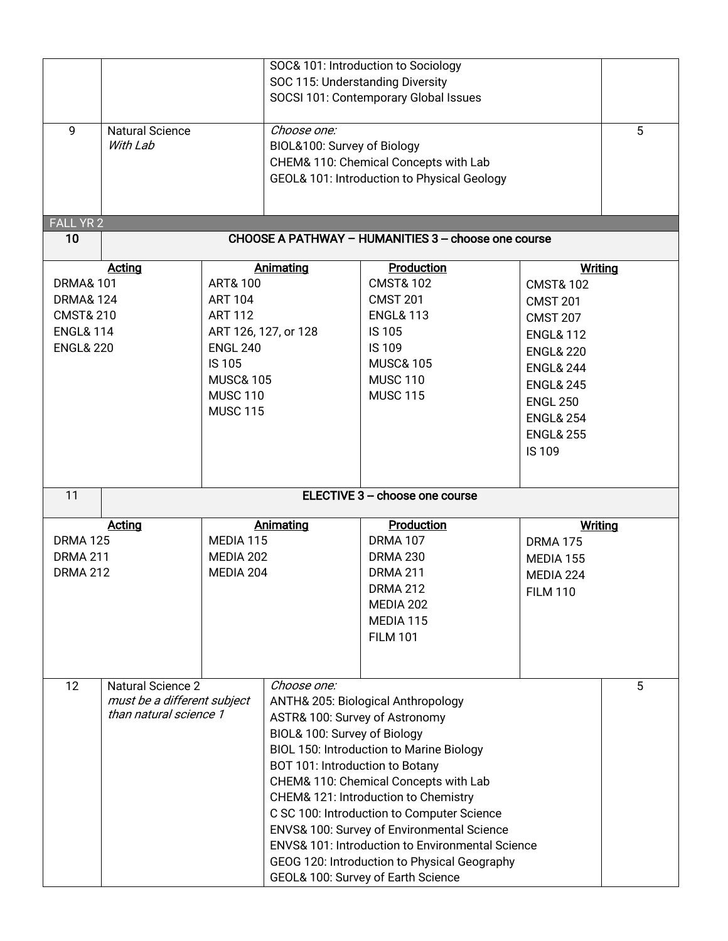|                                                                      |                        |                                                                                          |                                                                                      | SOC& 101: Introduction to Sociology<br>SOC 115: Understanding Diversity |                      |   |
|----------------------------------------------------------------------|------------------------|------------------------------------------------------------------------------------------|--------------------------------------------------------------------------------------|-------------------------------------------------------------------------|----------------------|---|
|                                                                      |                        |                                                                                          | SOCSI 101: Contemporary Global Issues                                                |                                                                         |                      |   |
| 9                                                                    | <b>Natural Science</b> |                                                                                          | Choose one:                                                                          |                                                                         |                      | 5 |
|                                                                      | With Lab               |                                                                                          | BIOL&100: Survey of Biology                                                          |                                                                         |                      |   |
|                                                                      |                        |                                                                                          | CHEM& 110: Chemical Concepts with Lab<br>GEOL& 101: Introduction to Physical Geology |                                                                         |                      |   |
|                                                                      |                        |                                                                                          |                                                                                      |                                                                         |                      |   |
| <b>FALL YR 2</b>                                                     |                        |                                                                                          |                                                                                      |                                                                         |                      |   |
| 10                                                                   |                        |                                                                                          |                                                                                      | CHOOSE A PATHWAY - HUMANITIES 3 - choose one course                     |                      |   |
|                                                                      | <b>Acting</b>          |                                                                                          | Animating                                                                            | Production                                                              | <b>Writing</b>       |   |
| <b>DRMA&amp; 101</b>                                                 |                        | <b>ART&amp; 100</b>                                                                      |                                                                                      | <b>CMST&amp; 102</b>                                                    | <b>CMST&amp; 102</b> |   |
| <b>DRMA&amp; 124</b><br><b>CMST&amp; 210</b>                         |                        | <b>ART 104</b>                                                                           |                                                                                      | <b>CMST 201</b><br><b>ENGL&amp; 113</b>                                 | <b>CMST 201</b>      |   |
|                                                                      |                        | <b>ART 112</b>                                                                           |                                                                                      | <b>IS105</b>                                                            | <b>CMST 207</b>      |   |
| <b>ENGL&amp; 114</b><br>ART 126, 127, or 128<br><b>ENGL&amp; 220</b> |                        | <b>ENGL 240</b>                                                                          |                                                                                      | <b>IS109</b>                                                            | <b>ENGL&amp; 112</b> |   |
|                                                                      |                        | <b>IS 105</b>                                                                            |                                                                                      | <b>MUSC&amp; 105</b>                                                    | <b>ENGL&amp; 220</b> |   |
|                                                                      |                        | <b>MUSC&amp; 105</b>                                                                     |                                                                                      | <b>MUSC 110</b>                                                         | <b>ENGL&amp; 244</b> |   |
|                                                                      |                        | <b>MUSC 110</b>                                                                          |                                                                                      | <b>MUSC 115</b>                                                         | <b>ENGL&amp; 245</b> |   |
|                                                                      |                        | <b>MUSC 115</b>                                                                          |                                                                                      |                                                                         | <b>ENGL 250</b>      |   |
|                                                                      |                        |                                                                                          |                                                                                      | <b>ENGL&amp; 254</b><br><b>ENGL&amp; 255</b>                            |                      |   |
|                                                                      |                        |                                                                                          |                                                                                      | <b>IS 109</b>                                                           |                      |   |
|                                                                      |                        |                                                                                          |                                                                                      |                                                                         |                      |   |
| 11                                                                   |                        |                                                                                          | ELECTIVE 3 - choose one course                                                       |                                                                         |                      |   |
|                                                                      | <b>Acting</b>          |                                                                                          | Animating                                                                            | Production                                                              | <b>Writing</b>       |   |
| <b>DRMA 125</b>                                                      |                        | MEDIA 115                                                                                |                                                                                      | <b>DRMA 107</b>                                                         | <b>DRMA 175</b>      |   |
| <b>DRMA 211</b>                                                      |                        | MEDIA 202                                                                                |                                                                                      | <b>DRMA 230</b>                                                         | MEDIA 155            |   |
| <b>DRMA 212</b>                                                      |                        | MEDIA 204                                                                                |                                                                                      | <b>DRMA 211</b>                                                         | MEDIA 224            |   |
|                                                                      |                        |                                                                                          |                                                                                      | <b>DRMA 212</b>                                                         | <b>FILM 110</b>      |   |
|                                                                      |                        |                                                                                          |                                                                                      | MEDIA 202                                                               |                      |   |
|                                                                      |                        |                                                                                          |                                                                                      | MEDIA 115                                                               |                      |   |
|                                                                      |                        |                                                                                          |                                                                                      | <b>FILM 101</b>                                                         |                      |   |
|                                                                      |                        |                                                                                          |                                                                                      |                                                                         |                      |   |
| 12<br><b>Natural Science 2</b>                                       |                        | Choose one:                                                                              |                                                                                      |                                                                         | $\overline{5}$       |   |
| must be a different subject                                          |                        | ANTH& 205: Biological Anthropology                                                       |                                                                                      |                                                                         |                      |   |
| than natural science 1                                               |                        | ASTR& 100: Survey of Astronomy                                                           |                                                                                      |                                                                         |                      |   |
|                                                                      |                        | BIOL& 100: Survey of Biology                                                             |                                                                                      |                                                                         |                      |   |
|                                                                      |                        | <b>BIOL 150: Introduction to Marine Biology</b>                                          |                                                                                      |                                                                         |                      |   |
|                                                                      |                        | BOT 101: Introduction to Botany                                                          |                                                                                      |                                                                         |                      |   |
|                                                                      |                        | CHEM& 110: Chemical Concepts with Lab                                                    |                                                                                      |                                                                         |                      |   |
|                                                                      |                        | CHEM& 121: Introduction to Chemistry                                                     |                                                                                      |                                                                         |                      |   |
|                                                                      |                        | C SC 100: Introduction to Computer Science<br>ENVS& 100: Survey of Environmental Science |                                                                                      |                                                                         |                      |   |
|                                                                      |                        |                                                                                          | <b>ENVS&amp; 101: Introduction to Environmental Science</b>                          |                                                                         |                      |   |
|                                                                      |                        |                                                                                          | GEOG 120: Introduction to Physical Geography                                         |                                                                         |                      |   |
|                                                                      |                        | GEOL& 100: Survey of Earth Science                                                       |                                                                                      |                                                                         |                      |   |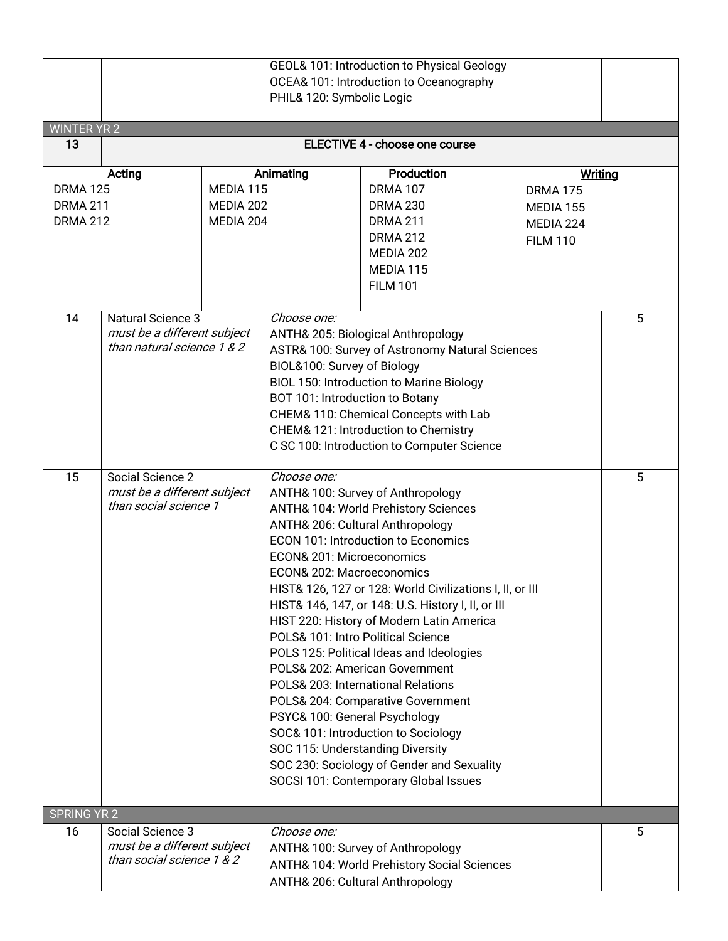| <b>WINTER YR 2</b>                                    |                                                                                                                                                                                                                                                                                                                                                                                                                                                                                                                                                                                                                                                                                                                                                                                                                                                                                   | GEOL& 101: Introduction to Physical Geology<br>OCEA& 101: Introduction to Oceanography<br>PHIL& 120: Symbolic Logic |                                                                                                                                                                                                                                                                                                                                                          |                                                                                                                                     |                                                                                |   |
|-------------------------------------------------------|-----------------------------------------------------------------------------------------------------------------------------------------------------------------------------------------------------------------------------------------------------------------------------------------------------------------------------------------------------------------------------------------------------------------------------------------------------------------------------------------------------------------------------------------------------------------------------------------------------------------------------------------------------------------------------------------------------------------------------------------------------------------------------------------------------------------------------------------------------------------------------------|---------------------------------------------------------------------------------------------------------------------|----------------------------------------------------------------------------------------------------------------------------------------------------------------------------------------------------------------------------------------------------------------------------------------------------------------------------------------------------------|-------------------------------------------------------------------------------------------------------------------------------------|--------------------------------------------------------------------------------|---|
| 13                                                    | <b>ELECTIVE 4 - choose one course</b>                                                                                                                                                                                                                                                                                                                                                                                                                                                                                                                                                                                                                                                                                                                                                                                                                                             |                                                                                                                     |                                                                                                                                                                                                                                                                                                                                                          |                                                                                                                                     |                                                                                |   |
| <b>DRMA 125</b><br><b>DRMA 211</b><br><b>DRMA 212</b> | <b>Acting</b><br>MEDIA 115<br>MEDIA 202<br>MEDIA 204                                                                                                                                                                                                                                                                                                                                                                                                                                                                                                                                                                                                                                                                                                                                                                                                                              |                                                                                                                     | <b>Animating</b>                                                                                                                                                                                                                                                                                                                                         | Production<br><b>DRMA 107</b><br><b>DRMA 230</b><br><b>DRMA 211</b><br><b>DRMA 212</b><br>MEDIA 202<br>MEDIA 115<br><b>FILM 101</b> | <b>Writing</b><br><b>DRMA 175</b><br>MEDIA 155<br>MEDIA 224<br><b>FILM 110</b> |   |
| 14                                                    | <b>Natural Science 3</b><br>must be a different subject<br>than natural science 1 & 2                                                                                                                                                                                                                                                                                                                                                                                                                                                                                                                                                                                                                                                                                                                                                                                             |                                                                                                                     | Choose one:<br>ANTH& 205: Biological Anthropology<br>ASTR& 100: Survey of Astronomy Natural Sciences<br>BIOL&100: Survey of Biology<br><b>BIOL 150: Introduction to Marine Biology</b><br>BOT 101: Introduction to Botany<br>CHEM& 110: Chemical Concepts with Lab<br>CHEM& 121: Introduction to Chemistry<br>C SC 100: Introduction to Computer Science |                                                                                                                                     |                                                                                | 5 |
| 15                                                    | Choose one:<br>Social Science 2<br>must be a different subject<br>ANTH& 100: Survey of Anthropology<br>than social science 1<br>ANTH& 104: World Prehistory Sciences<br>ANTH& 206: Cultural Anthropology<br><b>ECON 101: Introduction to Economics</b><br>ECON& 201: Microeconomics<br>ECON& 202: Macroeconomics<br>HIST& 126, 127 or 128: World Civilizations I, II, or III<br>HIST& 146, 147, or 148: U.S. History I, II, or III<br>HIST 220: History of Modern Latin America<br>POLS& 101: Intro Political Science<br>POLS 125: Political Ideas and Ideologies<br>POLS& 202: American Government<br>POLS& 203: International Relations<br>POLS& 204: Comparative Government<br>PSYC& 100: General Psychology<br>SOC& 101: Introduction to Sociology<br>SOC 115: Understanding Diversity<br>SOC 230: Sociology of Gender and Sexuality<br>SOCSI 101: Contemporary Global Issues |                                                                                                                     |                                                                                                                                                                                                                                                                                                                                                          |                                                                                                                                     | 5                                                                              |   |
| <b>SPRING YR 2</b><br>16                              | Social Science 3                                                                                                                                                                                                                                                                                                                                                                                                                                                                                                                                                                                                                                                                                                                                                                                                                                                                  |                                                                                                                     | Choose one:                                                                                                                                                                                                                                                                                                                                              |                                                                                                                                     |                                                                                | 5 |
|                                                       | must be a different subject<br>than social science 1 & 2                                                                                                                                                                                                                                                                                                                                                                                                                                                                                                                                                                                                                                                                                                                                                                                                                          |                                                                                                                     |                                                                                                                                                                                                                                                                                                                                                          | ANTH& 100: Survey of Anthropology<br>ANTH& 104: World Prehistory Social Sciences<br>ANTH& 206: Cultural Anthropology                |                                                                                |   |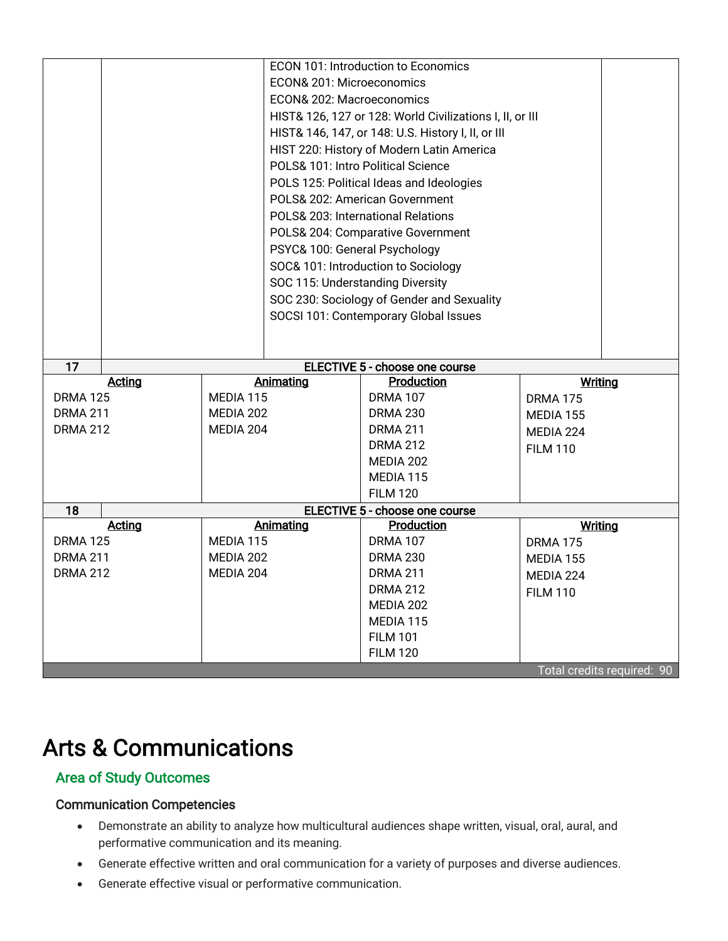|                                    |  |                        |                                                          | <b>ECON 101: Introduction to Economics</b> |                            |  |
|------------------------------------|--|------------------------|----------------------------------------------------------|--------------------------------------------|----------------------------|--|
|                                    |  |                        | ECON& 201: Microeconomics                                |                                            |                            |  |
|                                    |  |                        | ECON& 202: Macroeconomics                                |                                            |                            |  |
|                                    |  |                        | HIST& 126, 127 or 128: World Civilizations I, II, or III |                                            |                            |  |
|                                    |  |                        | HIST& 146, 147, or 148: U.S. History I, II, or III       |                                            |                            |  |
|                                    |  |                        | HIST 220: History of Modern Latin America                |                                            |                            |  |
|                                    |  |                        | POLS& 101: Intro Political Science                       |                                            |                            |  |
|                                    |  |                        |                                                          | POLS 125: Political Ideas and Ideologies   |                            |  |
|                                    |  |                        |                                                          | POLS& 202: American Government             |                            |  |
|                                    |  |                        |                                                          | POLS& 203: International Relations         |                            |  |
|                                    |  |                        | POLS& 204: Comparative Government                        |                                            |                            |  |
|                                    |  |                        | PSYC& 100: General Psychology                            |                                            |                            |  |
|                                    |  |                        | SOC& 101: Introduction to Sociology                      |                                            |                            |  |
|                                    |  |                        | SOC 115: Understanding Diversity                         |                                            |                            |  |
|                                    |  |                        | SOC 230: Sociology of Gender and Sexuality               |                                            |                            |  |
|                                    |  |                        | SOCSI 101: Contemporary Global Issues                    |                                            |                            |  |
|                                    |  |                        |                                                          |                                            |                            |  |
|                                    |  |                        |                                                          |                                            |                            |  |
| 17                                 |  |                        |                                                          | ELECTIVE 5 - choose one course             |                            |  |
| <b>Acting</b>                      |  | Animating              |                                                          | Production                                 | Writing                    |  |
| <b>DRMA 125</b><br><b>DRMA 211</b> |  | MEDIA 115<br>MEDIA 202 |                                                          | <b>DRMA 107</b>                            | <b>DRMA 175</b>            |  |
| <b>DRMA 212</b>                    |  | MEDIA 204              |                                                          | <b>DRMA 230</b><br><b>DRMA 211</b>         | MEDIA 155                  |  |
|                                    |  |                        |                                                          | <b>DRMA 212</b>                            | MEDIA 224                  |  |
|                                    |  |                        |                                                          | MEDIA 202                                  | <b>FILM 110</b>            |  |
|                                    |  |                        |                                                          | MEDIA 115                                  |                            |  |
|                                    |  |                        |                                                          | <b>FILM 120</b>                            |                            |  |
| 18                                 |  |                        | ELECTIVE 5 - choose one course                           |                                            |                            |  |
| <b>Acting</b>                      |  |                        | Animating                                                | Production                                 | <b>Writing</b>             |  |
| <b>DRMA 125</b>                    |  | MEDIA 115              |                                                          | <b>DRMA 107</b>                            | <b>DRMA 175</b>            |  |
| <b>DRMA 211</b>                    |  | MEDIA 202              |                                                          | <b>DRMA 230</b>                            | MEDIA 155                  |  |
| <b>DRMA 212</b>                    |  | MEDIA 204              |                                                          | <b>DRMA 211</b>                            | MEDIA 224                  |  |
|                                    |  |                        |                                                          | <b>DRMA 212</b>                            | <b>FILM 110</b>            |  |
|                                    |  |                        |                                                          |                                            |                            |  |
|                                    |  |                        |                                                          | MEDIA 202                                  |                            |  |
|                                    |  |                        |                                                          | MEDIA 115                                  |                            |  |
|                                    |  |                        |                                                          | <b>FILM 101</b>                            |                            |  |
|                                    |  |                        |                                                          | <b>FILM 120</b>                            | Total credits required: 90 |  |

# Arts & Communications

# Area of Study Outcomes

# Communication Competencies

- Demonstrate an ability to analyze how multicultural audiences shape written, visual, oral, aural, and performative communication and its meaning.
- Generate effective written and oral communication for a variety of purposes and diverse audiences.
- Generate effective visual or performative communication.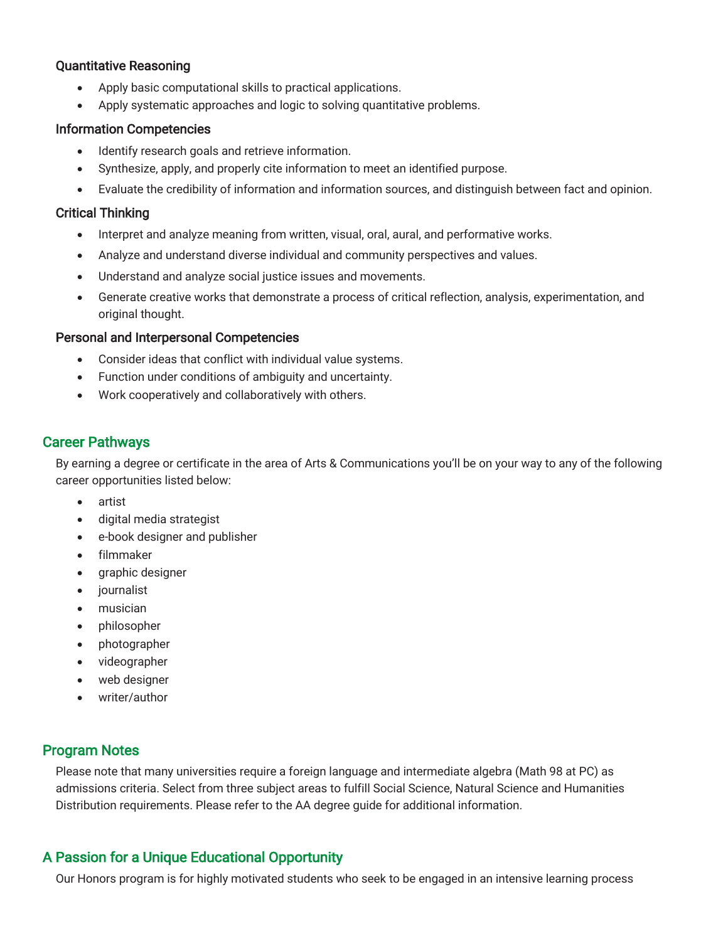#### Quantitative Reasoning

- Apply basic computational skills to practical applications.
- Apply systematic approaches and logic to solving quantitative problems.

#### Information Competencies

- Identify research goals and retrieve information.
- Synthesize, apply, and properly cite information to meet an identified purpose.
- Evaluate the credibility of information and information sources, and distinguish between fact and opinion.

#### Critical Thinking

- Interpret and analyze meaning from written, visual, oral, aural, and performative works.
- Analyze and understand diverse individual and community perspectives and values.
- Understand and analyze social justice issues and movements.
- Generate creative works that demonstrate a process of critical reflection, analysis, experimentation, and original thought.

### Personal and Interpersonal Competencies

- Consider ideas that conflict with individual value systems.
- Function under conditions of ambiguity and uncertainty.
- Work cooperatively and collaboratively with others.

# Career Pathways

By earning a degree or certificate in the area of Arts & Communications you'll be on your way to any of the following career opportunities listed below:

- artist
- digital media strategist
- e-book designer and publisher
- filmmaker
- graphic designer
- journalist
- musician
- philosopher
- photographer
- videographer
- web designer
- writer/author

# Program Notes

Please note that many universities require a foreign language and intermediate algebra (Math 98 at PC) as admissions criteria. Select from three subject areas to fulfill Social Science, Natural Science and Humanities Distribution requirements. Please refer to the AA degree guide for additional information.

# A Passion for a Unique Educational Opportunity

Our Honors program is for highly motivated students who seek to be engaged in an intensive learning process